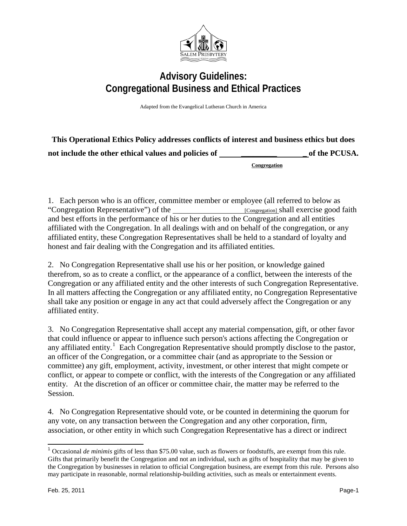

## **Advisory Guidelines: Congregational Business and Ethical Practices**

Adapted from the Evangelical Lutheran Church in America

| This Operational Ethics Policy addresses conflicts of interest and business ethics but does |               |
|---------------------------------------------------------------------------------------------|---------------|
| not include the other ethical values and policies of                                        | of the PCUSA. |
|                                                                                             | Congregation  |

1. Each person who is an officer, committee member or employee (all referred to below as "Congregation Representative") of the **Exercise** [Congregation] shall exercise good faith and best efforts in the performance of his or her duties to the Congregation and all entities affiliated with the Congregation. In all dealings with and on behalf of the congregation, or any affiliated entity, these Congregation Representatives shall be held to a standard of loyalty and honest and fair dealing with the Congregation and its affiliated entities.

2. No Congregation Representative shall use his or her position, or knowledge gained therefrom, so as to create a conflict, or the appearance of a conflict, between the interests of the Congregation or any affiliated entity and the other interests of such Congregation Representative. In all matters affecting the Congregation or any affiliated entity, no Congregation Representative shall take any position or engage in any act that could adversely affect the Congregation or any affiliated entity.

3. No Congregation Representative shall accept any material compensation, gift, or other favor that could influence or appear to influence such person's actions affecting the Congregation or any affiliated entity.<sup>[1](#page-0-0)</sup> Each Congregation Representative should promptly disclose to the pastor, an officer of the Congregation, or a committee chair (and as appropriate to the Session or committee) any gift, employment, activity, investment, or other interest that might compete or conflict, or appear to compete or conflict, with the interests of the Congregation or any affiliated entity. At the discretion of an officer or committee chair, the matter may be referred to the Session.

4. No Congregation Representative should vote, or be counted in determining the quorum for any vote, on any transaction between the Congregation and any other corporation, firm, association, or other entity in which such Congregation Representative has a direct or indirect

<span id="page-0-0"></span><sup>&</sup>lt;sup>1</sup> Occasional *de minimis* gifts of less than \$75.00 value, such as flowers or foodstuffs, are exempt from this rule. Gifts that primarily benefit the Congregation and not an individual, such as gifts of hospitality that may be given to the Congregation by businesses in relation to official Congregation business, are exempt from this rule. Persons also may participate in reasonable, normal relationship-building activities, such as meals or entertainment events.